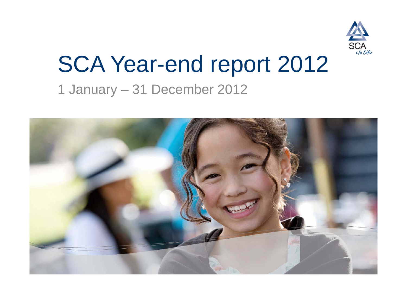

## SCA Year-end report 2012 1 January – 31 December 2012

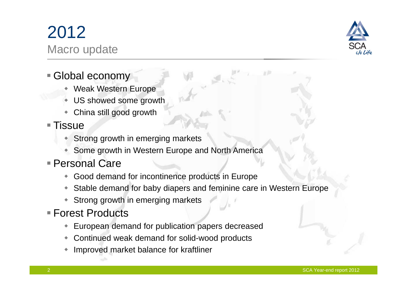### 2012 Macro update

- Global economy
	- Weak Western Europe
	- ۰ US showed some growth
	- ٠ China still good growth
- $\blacksquare$  Tissue
	- ◆ Strong growth in emerging markets
	- Some growth in Western Europe and North America
- Personal Care
	- Good demand for incontinence products in Europe
	- Stable demand for baby diapers and feminine care in Western Europe
	- Strong growth in emerging markets
- Forest Products
	- European demand for publication papers decreased
	- Continued weak demand for solid-wood products
	- $\ddot{\bullet}$ Improved market balance for kraftliner

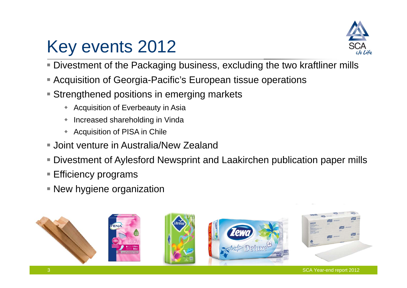



- Divestment of the Packaging business, excluding the two kraftliner mills
- Acquisition of Georgia-Pacific's European tissue operations
- **Strengthened positions in emerging markets** 
	- ◆ Acquisition of Everbeauty in Asia
	- ۰ Increased shareholding in Vinda
	- ٠ Acquisition of PISA in Chile
- Joint venture in Australia/New Zealand
- Divestment of Aylesford Newsprint and Laakirchen publication paper mills
- Efficiency programs
- **New hygiene organization**

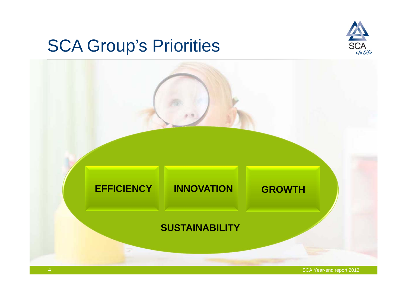## SCA Group's Priorities



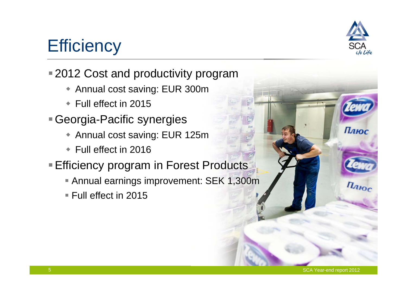

Плюс

 $n_{ABC}$ 

## **Efficiency**

### ■ 2012 Cost and productivity program

- Annual cost saving: EUR 300m
- ◆ Full effect in 2015
- Georgia-Pacific synergies
	- Annual cost saving: EUR 125m
	- ◆ Full effect in 2016
- **Efficiency program in Forest Products** 
	- Annual earnings improvement: SEK 1,300m
	- Full effect in 2015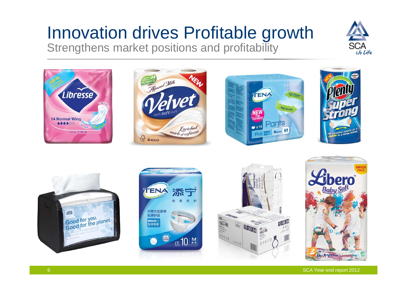## Innovation drives Profitable growth

Strengthens market positions and profitability





SCA Year-end report 2012

libera Art Cdition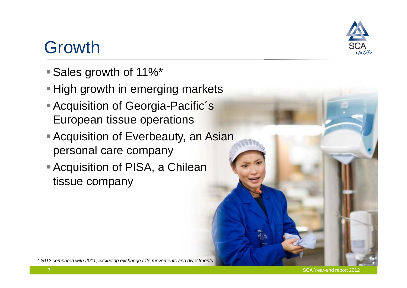### Growth

- Sales growth of 11%\*
- **High growth in emerging markets**
- **Acquisition of Georgia-Pacific's** European tissue operations
- **Acquisition of Everbeauty, an Asian** personal care company
- Acquisition of PISA, a Chilean tissue company

*\* 2012 compared with 2011, excluding exchange rate movements and divestments* 

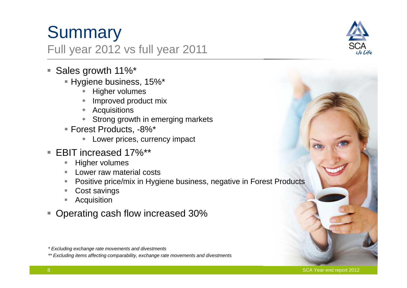# **Summary**

### Full year 2012 vs full year 2011

- Sales growth 11%\*
	- Hygiene business, 15%\*
		- **+** Higher volumes
		- Improved product mix
		- Acquisitions
		- Strong growth in emerging markets
	- Forest Products, -8%\*
		- ۰ Lower prices, currency impact
- EBIT increased 17%\*\*
	- п Higher volumes
	- Lower raw material costs
	- П Positive price/mix in Hygiene business, negative in Forest Products
	- П Cost savings
	- П Acquisition
- Operating cash flow increased 30%



*<sup>\*</sup> Excluding exchange rate movements and divestments*

*<sup>\*\*</sup> Excluding items affecting comparability, exchange rate movements and divestments*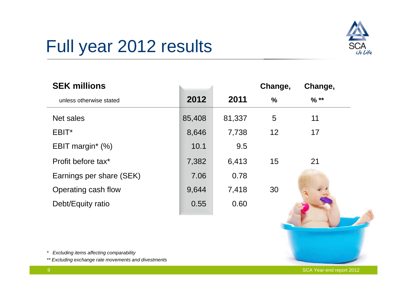

## Full year 2012 results

| <b>SEK millions</b>             |        |        | Change,       | Change, |
|---------------------------------|--------|--------|---------------|---------|
| unless otherwise stated         | 2012   | 2011   | $\frac{0}{0}$ | $%$ **  |
| Net sales                       | 85,408 | 81,337 | 5             | 11      |
| EBIT*                           | 8,646  | 7,738  | 12            | 17      |
| EBIT margin <sup>*</sup> $(\%)$ | 10.1   | 9.5    |               |         |
| Profit before tax*              | 7,382  | 6,413  | 15            | 21      |
| Earnings per share (SEK)        | 7.06   | 0.78   |               |         |
| Operating cash flow             | 9,644  | 7,418  | 30            |         |
| Debt/Equity ratio               | 0.55   | 0.60   |               |         |

*\* Excluding items affecting comparability*

*\*\* Excluding exchange rate movements and divestments*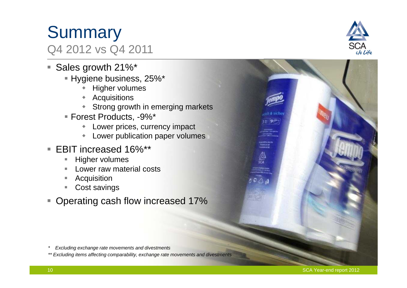#### SCA Year-end report 2012

ch & siche  $3 = 9 + 7$ 

Production Co.

A)<br>SCA

### **Summary** Q4 2012 vs Q4 2011

- Sales growth 21%\*
	- Hygiene business, 25%\*
		- **+** Higher volumes
		- Acquisitions
		- Strong growth in emerging markets
	- Forest Products, -9%\*
		- Lower prices, currency impact
		- $\blacklozenge$ Lower publication paper volumes
- EBIT increased 16%\*\*
	- П Higher volumes
	- Lower raw material costs
	- П **Acquisition**
	- П Cost savings
- Operating cash flow increased 17%

- *\* Excluding exchange rate movements and divestments*
- *\*\* Excluding items affecting comparability, exchange rate movements and divestments*

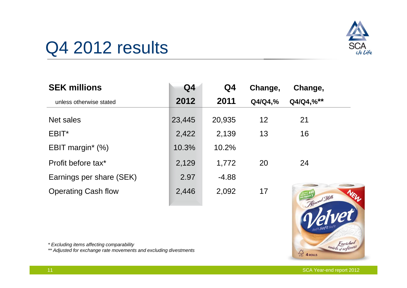

### Q4 2012 results

| <b>SEK millions</b>        | Q <sub>4</sub> | Q4      | Change, | Change,   |
|----------------------------|----------------|---------|---------|-----------|
| unless otherwise stated    | 2012           | 2011    | Q4/Q4,% | Q4/Q4,%** |
| Net sales                  | 23,445         | 20,935  | 12      | 21        |
| EBIT*                      | 2,422          | 2,139   | 13      | 16        |
| EBIT margin* $(\%)$        | 10.3%          | 10.2%   |         |           |
| Profit before tax*         | 2,129          | 1,772   | 20      | 24        |
| Earnings per share (SEK)   | 2.97           | $-4.88$ |         |           |
| <b>Operating Cash flow</b> | 2,446          | 2,092   | 17      | s Wilk    |



*\* Excluding items affecting comparability*

*\*\* Adjusted for exchange rate movements and excluding divestments*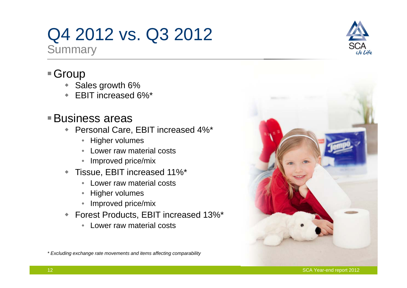## Q4 2012 vs. Q3 2012

**Summary** 

### ■ Group

- ◆ Sales growth 6%
- EBIT increased 6%\*

### Business areas

- Personal Care, EBIT increased 4%\*
	- Higher volumes
	- Lower raw material costs
	- Improved price/mix
- Tissue, EBIT increased 11%\*
	- Lower raw material costs
	- Higher volumes
	- Improved price/mix
- Forest Products, EBIT increased 13%\*
	- Lower raw material costs

*\* Excluding exchange rate movements and items affecting comparability* 



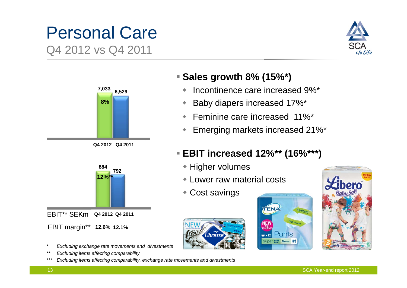# Personal Care

Q4 2012 vs Q4 2011







- *\* Excluding exchange rate movements and divestments*
- *\*\* Excluding items affecting comparability*
- *\*\*\* Excluding items affecting comparability, exchange rate movements and divestments*

#### **Sales growth 8% (15%\*)**

- ٠ Incontinence care increased 9%\*
- ٠ Baby diapers increased 17%\*
- ٠ Feminine care increased 11%\*
- $\begin{array}{c} \bullet \\ \bullet \end{array}$ Emerging markets increased 21%\*

#### **EBIT increased 12%\*\* (16%\*\*\*)**

- Higher volumes
- Lower raw material costs
- Cost savings





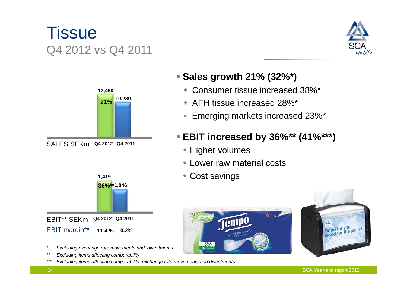### **Tissue** Q4 2012 vs Q4 2011







- *\* Excluding exchange rate movements and divestments*
- *\*\* Excluding items affecting comparability*
- *\*\*\* Excluding items affecting comparability, exchange rate movements and divestments*

#### **Sales growth 21% (32%\*)**

- ٠ Consumer tissue increased 38%\*
- AFH tissue increased 28%\*
- $\blacklozenge$ Emerging markets increased 23%\*

#### **EBIT increased by 36%\*\* (41%\*\*\*)**

- Higher volumes
- Lower raw material costs
- Cost savings



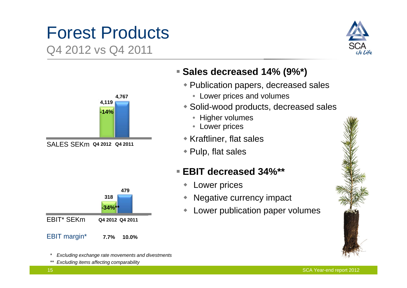# Forest Products

Q4 2012 vs Q4 2011





SALES SEKm **Q4 2012 Q4 2011**



- *\* Excluding exchange rate movements and divestments*
- *\*\* Excluding items affecting comparability*

#### **Sales decreased 14% (9%\*)**

- Publication papers, decreased sales
	- Lower prices and volumes
- Solid-wood products, decreased sales
	- Higher volumes
	- Lower prices
- Kraftliner, flat sales
- Pulp, flat sales

#### **EBIT decreased 34%\*\***

- $\bullet$ Lower prices
- $\blacklozenge$ Negative currency impact
- $\blacklozenge$ Lower publication paper volumes

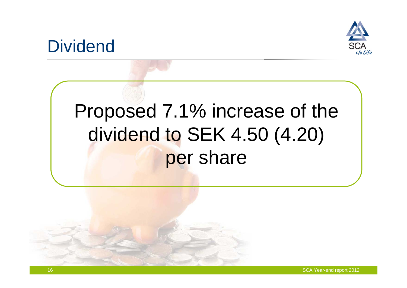

### **Dividend**

## Proposed 7.1% increase of the dividend to SEK 4.50 (4.20) per share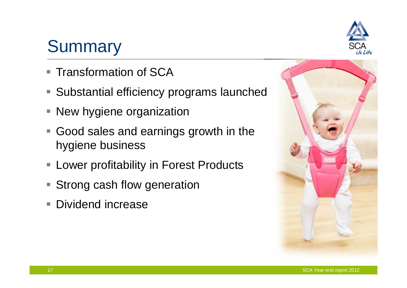#### SCA Year-end report 2012

### **Summary**

- Transformation of SCA
- $\Box$ Substantial efficiency programs launched
- $\overline{\mathbb{R}}$ New hygiene organization
- Good sales and earnings growth in the hygiene business
- $\overline{\phantom{a}}$ Lower profitability in Forest Products
- $\mathcal{L}_{\mathcal{A}}$ Strong cash flow generation
- $\Box$ Dividend increase



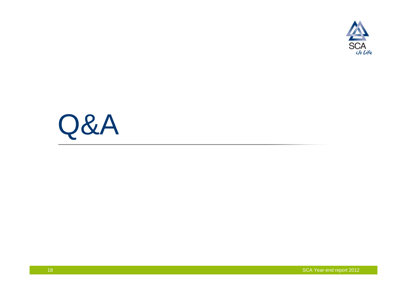

# Q&A